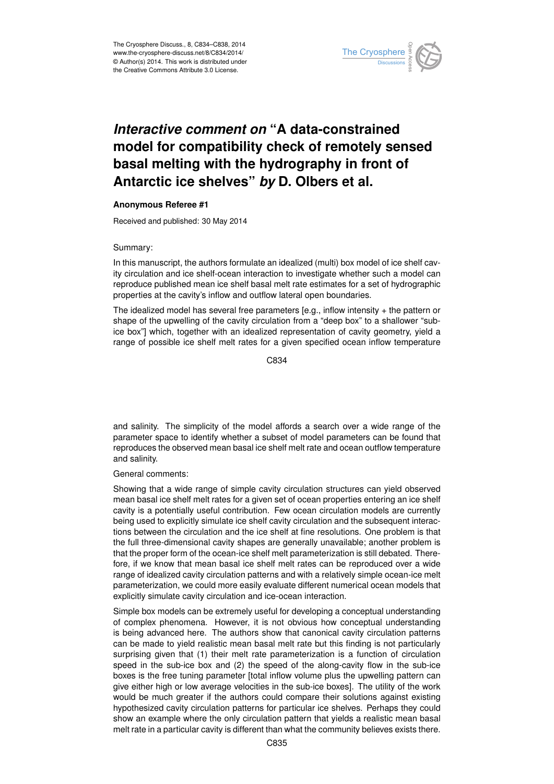

## *Interactive comment on* **"A data-constrained model for compatibility check of remotely sensed basal melting with the hydrography in front of Antarctic ice shelves"** *by* **D. Olbers et al.**

## **Anonymous Referee #1**

Received and published: 30 May 2014

## Summary:

In this manuscript, the authors formulate an idealized (multi) box model of ice shelf cavity circulation and ice shelf-ocean interaction to investigate whether such a model can reproduce published mean ice shelf basal melt rate estimates for a set of hydrographic properties at the cavity's inflow and outflow lateral open boundaries.

The idealized model has several free parameters [e.g., inflow intensity + the pattern or shape of the upwelling of the cavity circulation from a "deep box" to a shallower "subice box"] which, together with an idealized representation of cavity geometry, yield a range of possible ice shelf melt rates for a given specified ocean inflow temperature

C834

and salinity. The simplicity of the model affords a search over a wide range of the parameter space to identify whether a subset of model parameters can be found that reproduces the observed mean basal ice shelf melt rate and ocean outflow temperature and salinity.

General comments:

Showing that a wide range of simple cavity circulation structures can yield observed mean basal ice shelf melt rates for a given set of ocean properties entering an ice shelf cavity is a potentially useful contribution. Few ocean circulation models are currently being used to explicitly simulate ice shelf cavity circulation and the subsequent interactions between the circulation and the ice shelf at fine resolutions. One problem is that the full three-dimensional cavity shapes are generally unavailable; another problem is that the proper form of the ocean-ice shelf melt parameterization is still debated. Therefore, if we know that mean basal ice shelf melt rates can be reproduced over a wide range of idealized cavity circulation patterns and with a relatively simple ocean-ice melt parameterization, we could more easily evaluate different numerical ocean models that explicitly simulate cavity circulation and ice-ocean interaction.

Simple box models can be extremely useful for developing a conceptual understanding of complex phenomena. However, it is not obvious how conceptual understanding is being advanced here. The authors show that canonical cavity circulation patterns can be made to yield realistic mean basal melt rate but this finding is not particularly surprising given that (1) their melt rate parameterization is a function of circulation speed in the sub-ice box and (2) the speed of the along-cavity flow in the sub-ice boxes is the free tuning parameter [total inflow volume plus the upwelling pattern can give either high or low average velocities in the sub-ice boxes]. The utility of the work would be much greater if the authors could compare their solutions against existing hypothesized cavity circulation patterns for particular ice shelves. Perhaps they could show an example where the only circulation pattern that yields a realistic mean basal melt rate in a particular cavity is different than what the community believes exists there.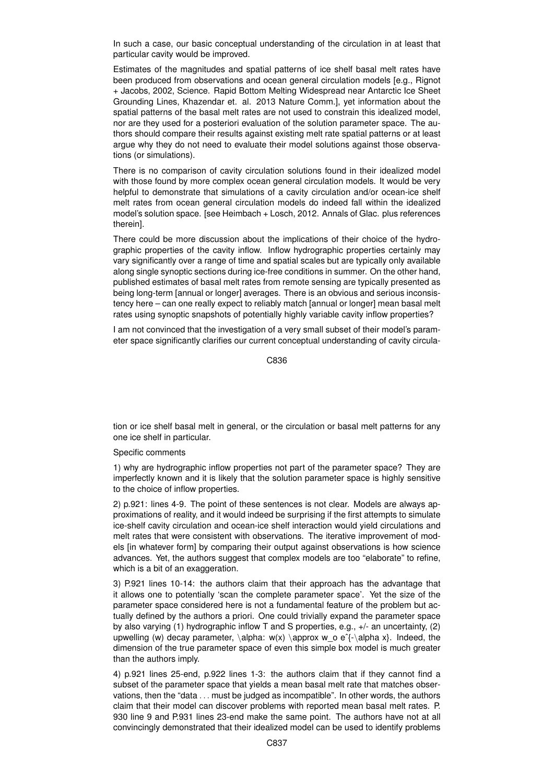In such a case, our basic conceptual understanding of the circulation in at least that particular cavity would be improved.

Estimates of the magnitudes and spatial patterns of ice shelf basal melt rates have been produced from observations and ocean general circulation models [e.g., Rignot] + Jacobs, 2002, Science. Rapid Bottom Melting Widespread near Antarctic Ice Sheet Grounding Lines, Khazendar et. al. 2013 Nature Comm.], yet information about the spatial patterns of the basal melt rates are not used to constrain this idealized model, nor are they used for a posteriori evaluation of the solution parameter space. The authors should compare their results against existing melt rate spatial patterns or at least argue why they do not need to evaluate their model solutions against those observations (or simulations).

There is no comparison of cavity circulation solutions found in their idealized model with those found by more complex ocean general circulation models. It would be very helpful to demonstrate that simulations of a cavity circulation and/or ocean-ice shelf melt rates from ocean general circulation models do indeed fall within the idealized model's solution space. [see Heimbach + Losch, 2012. Annals of Glac. plus references therein].

There could be more discussion about the implications of their choice of the hydrographic properties of the cavity inflow. Inflow hydrographic properties certainly may vary significantly over a range of time and spatial scales but are typically only available along single synoptic sections during ice-free conditions in summer. On the other hand, published estimates of basal melt rates from remote sensing are typically presented as being long-term [annual or longer] averages. There is an obvious and serious inconsistency here – can one really expect to reliably match [annual or longer] mean basal melt rates using synoptic snapshots of potentially highly variable cavity inflow properties?

I am not convinced that the investigation of a very small subset of their model's parameter space significantly clarifies our current conceptual understanding of cavity circula-

C836

tion or ice shelf basal melt in general, or the circulation or basal melt patterns for any one ice shelf in particular.

## Specific comments

1) why are hydrographic inflow properties not part of the parameter space? They are imperfectly known and it is likely that the solution parameter space is highly sensitive to the choice of inflow properties.

2) p.921: lines 4-9. The point of these sentences is not clear. Models are always approximations of reality, and it would indeed be surprising if the first attempts to simulate ice-shelf cavity circulation and ocean-ice shelf interaction would yield circulations and melt rates that were consistent with observations. The iterative improvement of models [in whatever form] by comparing their output against observations is how science advances. Yet, the authors suggest that complex models are too "elaborate" to refine, which is a bit of an exaggeration.

3) P.921 lines 10-14: the authors claim that their approach has the advantage that it allows one to potentially 'scan the complete parameter space'. Yet the size of the parameter space considered here is not a fundamental feature of the problem but actually defined by the authors a priori. One could trivially expand the parameter space by also varying (1) hydrographic inflow T and S properties, e.g., +/- an uncertainty, (2) upwelling (w) decay parameter,  $\alpha x(x) \aprox w$  o e $\alpha x$ . Indeed, the dimension of the true parameter space of even this simple box model is much greater than the authors imply.

4) p.921 lines 25-end, p.922 lines 1-3: the authors claim that if they cannot find a subset of the parameter space that yields a mean basal melt rate that matches observations, then the "data . . . must be judged as incompatible". In other words, the authors claim that their model can discover problems with reported mean basal melt rates. P. 930 line 9 and P.931 lines 23-end make the same point. The authors have not at all convincingly demonstrated that their idealized model can be used to identify problems